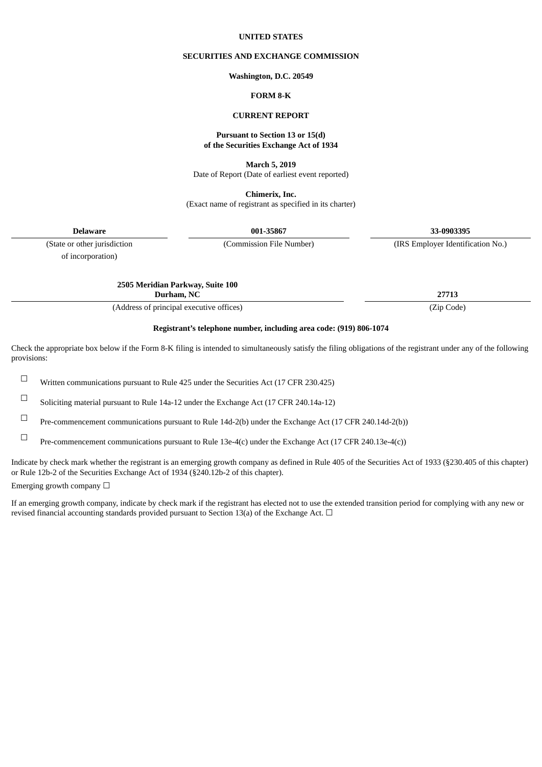#### **UNITED STATES**

#### **SECURITIES AND EXCHANGE COMMISSION**

#### **Washington, D.C. 20549**

### **FORM 8-K**

#### **CURRENT REPORT**

#### **Pursuant to Section 13 or 15(d) of the Securities Exchange Act of 1934**

**March 5, 2019**

Date of Report (Date of earliest event reported)

**Chimerix, Inc.** (Exact name of registrant as specified in its charter)

**Delaware 001-35867 33-0903395**

of incorporation)

(State or other jurisdiction (Commission File Number) (IRS Employer Identification No.)

**2505 Meridian Parkway, Suite 100**

**Durham, NC 27713**

(Address of principal executive offices) (Zip Code)

#### **Registrant's telephone number, including area code: (919) 806-1074**

Check the appropriate box below if the Form 8-K filing is intended to simultaneously satisfy the filing obligations of the registrant under any of the following provisions:

☐ Written communications pursuant to Rule <sup>425</sup> under the Securities Act (17 CFR 230.425)

☐ Soliciting material pursuant to Rule 14a-12 under the Exchange Act (17 CFR 240.14a-12)

☐ Pre-commencement communications pursuant to Rule 14d-2(b) under the Exchange Act (17 CFR 240.14d-2(b))

☐ Pre-commencement communications pursuant to Rule 13e-4(c) under the Exchange Act (17 CFR 240.13e-4(c))

Indicate by check mark whether the registrant is an emerging growth company as defined in Rule 405 of the Securities Act of 1933 (§230.405 of this chapter) or Rule 12b-2 of the Securities Exchange Act of 1934 (§240.12b-2 of this chapter).

Emerging growth company  $\Box$ 

If an emerging growth company, indicate by check mark if the registrant has elected not to use the extended transition period for complying with any new or revised financial accounting standards provided pursuant to Section 13(a) of the Exchange Act.  $\Box$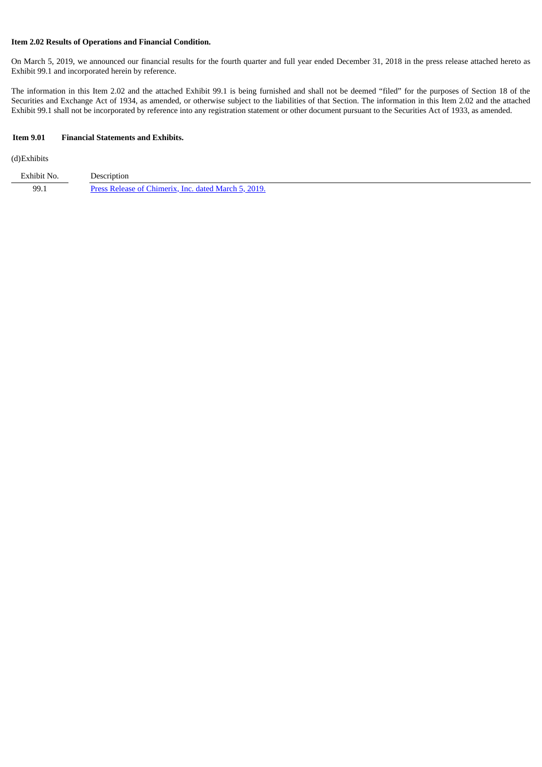## **Item 2.02 Results of Operations and Financial Condition.**

On March 5, 2019, we announced our financial results for the fourth quarter and full year ended December 31, 2018 in the press release attached hereto as Exhibit 99.1 and incorporated herein by reference.

The information in this Item 2.02 and the attached Exhibit 99.1 is being furnished and shall not be deemed "filed" for the purposes of Section 18 of the Securities and Exchange Act of 1934, as amended, or otherwise subject to the liabilities of that Section. The information in this Item 2.02 and the attached Exhibit 99.1 shall not be incorporated by reference into any registration statement or other document pursuant to the Securities Act of 1933, as amended.

#### **Item 9.01 Financial Statements and Exhibits.**

(d)Exhibits

| Exhibit No. | Description                                          |
|-------------|------------------------------------------------------|
| 99.1        | Press Release of Chimerix, Inc. dated March 5, 2019. |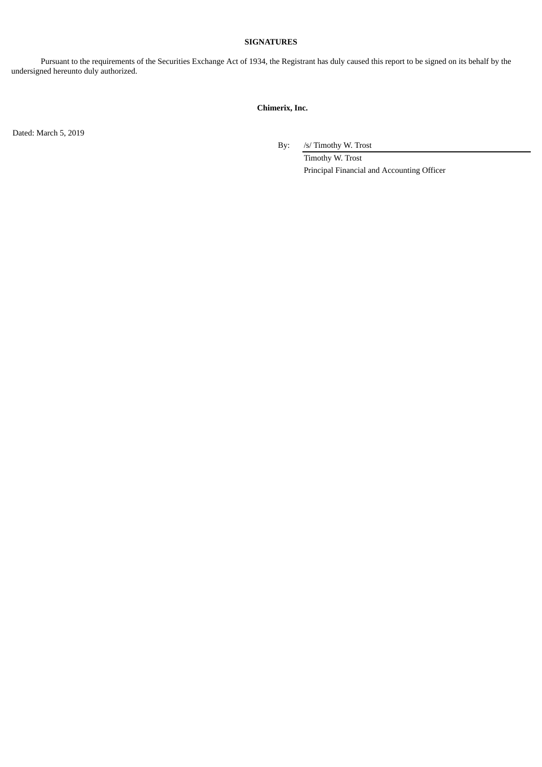### **SIGNATURES**

Pursuant to the requirements of the Securities Exchange Act of 1934, the Registrant has duly caused this report to be signed on its behalf by the undersigned hereunto duly authorized.

## **Chimerix, Inc.**

Dated: March 5, 2019

By: /s/ Timothy W. Trost

Timothy W. Trost Principal Financial and Accounting Officer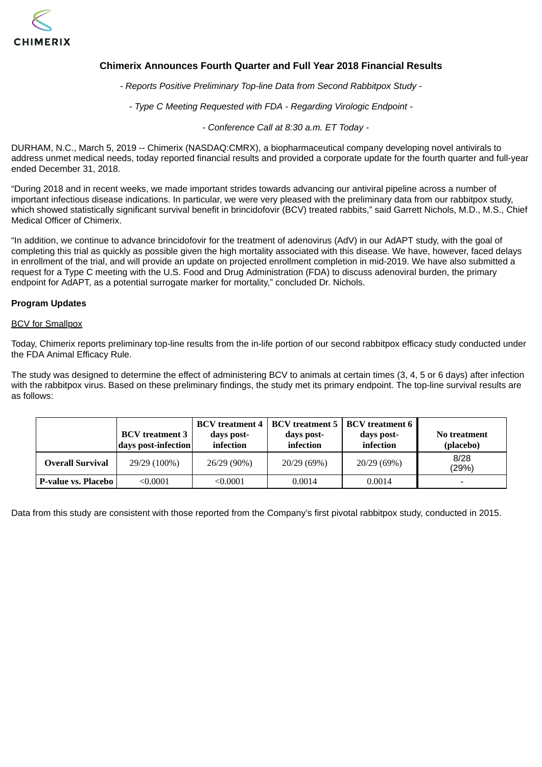<span id="page-3-0"></span>

# **Chimerix Announces Fourth Quarter and Full Year 2018 Financial Results**

*- Reports Positive Preliminary Top-line Data from Second Rabbitpox Study -*

*- Type C Meeting Requested with FDA - Regarding Virologic Endpoint -*

*- Conference Call at 8:30 a.m. ET Today -*

DURHAM, N.C., March 5, 2019 -- Chimerix (NASDAQ:CMRX), a biopharmaceutical company developing novel antivirals to address unmet medical needs, today reported financial results and provided a corporate update for the fourth quarter and full-year ended December 31, 2018.

"During 2018 and in recent weeks, we made important strides towards advancing our antiviral pipeline across a number of important infectious disease indications. In particular, we were very pleased with the preliminary data from our rabbitpox study, which showed statistically significant survival benefit in brincidofovir (BCV) treated rabbits," said Garrett Nichols, M.D., M.S., Chief Medical Officer of Chimerix.

"In addition, we continue to advance brincidofovir for the treatment of adenovirus (AdV) in our AdAPT study, with the goal of completing this trial as quickly as possible given the high mortality associated with this disease. We have, however, faced delays in enrollment of the trial, and will provide an update on projected enrollment completion in mid-2019. We have also submitted a request for a Type C meeting with the U.S. Food and Drug Administration (FDA) to discuss adenoviral burden, the primary endpoint for AdAPT, as a potential surrogate marker for mortality," concluded Dr. Nichols.

### **Program Updates**

#### **BCV** for Smallpox

Today, Chimerix reports preliminary top-line results from the in-life portion of our second rabbitpox efficacy study conducted under the FDA Animal Efficacy Rule.

The study was designed to determine the effect of administering BCV to animals at certain times (3, 4, 5 or 6 days) after infection with the rabbitpox virus. Based on these preliminary findings, the study met its primary endpoint. The top-line survival results are as follows:

|                            | <b>BCV</b> treatment 3<br>days post-infection | days post-<br>infection | days post-<br>infection | <b>BCV</b> treatment 4   BCV treatment 5   BCV treatment 6  <br>days post-<br>infection | No treatment<br>(placebo) |
|----------------------------|-----------------------------------------------|-------------------------|-------------------------|-----------------------------------------------------------------------------------------|---------------------------|
| Overall Survival           | 29/29 (100%)                                  | 26/29 (90%)             | 20/29 (69%)             | 20/29 (69%)                                                                             | 8/28<br>(29%)             |
| <b>P-value vs. Placebo</b> | < 0.0001                                      | < 0.0001                | 0.0014                  | 0.0014                                                                                  | $\overline{\phantom{0}}$  |

Data from this study are consistent with those reported from the Company's first pivotal rabbitpox study, conducted in 2015.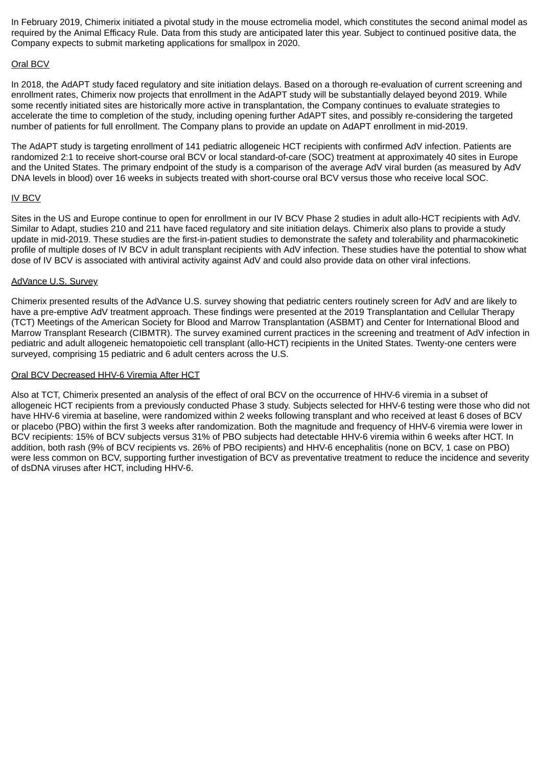In February 2019, Chimerix initiated a pivotal study in the mouse ectromelia model, which constitutes the second animal model as required by the Animal Efficacy Rule. Data from this study are anticipated later this year. Subject to continued positive data, the Company expects to submit marketing applications for smallpox in 2020.

## Oral BCV

In 2018, the AdAPT study faced regulatory and site initiation delays. Based on a thorough re-evaluation of current screening and enrollment rates, Chimerix now projects that enrollment in the AdAPT study will be substantially delayed beyond 2019. While some recently initiated sites are historically more active in transplantation, the Company continues to evaluate strategies to accelerate the time to completion of the study, including opening further AdAPT sites, and possibly re-considering the targeted number of patients for full enrollment. The Company plans to provide an update on AdAPT enrollment in mid-2019.

The AdAPT study is targeting enrollment of 141 pediatric allogeneic HCT recipients with confirmed AdV infection. Patients are randomized 2:1 to receive short-course oral BCV or local standard-of-care (SOC) treatment at approximately 40 sites in Europe and the United States. The primary endpoint of the study is a comparison of the average AdV viral burden (as measured by AdV DNA levels in blood) over 16 weeks in subjects treated with short-course oral BCV versus those who receive local SOC.

## IV BCV

Sites in the US and Europe continue to open for enrollment in our IV BCV Phase 2 studies in adult allo-HCT recipients with AdV. Similar to Adapt, studies 210 and 211 have faced regulatory and site initiation delays. Chimerix also plans to provide a study update in mid-2019. These studies are the first-in-patient studies to demonstrate the safety and tolerability and pharmacokinetic profile of multiple doses of IV BCV in adult transplant recipients with AdV infection. These studies have the potential to show what dose of IV BCV is associated with antiviral activity against AdV and could also provide data on other viral infections.

## AdVance U.S. Survey

Chimerix presented results of the AdVance U.S. survey showing that pediatric centers routinely screen for AdV and are likely to have a pre-emptive AdV treatment approach. These findings were presented at the 2019 Transplantation and Cellular Therapy (TCT) Meetings of the American Society for Blood and Marrow Transplantation (ASBMT) and Center for International Blood and Marrow Transplant Research (CIBMTR). The survey examined current practices in the screening and treatment of AdV infection in pediatric and adult allogeneic hematopoietic cell transplant (allo-HCT) recipients in the United States. Twenty-one centers were surveyed, comprising 15 pediatric and 6 adult centers across the U.S.

### Oral BCV Decreased HHV-6 Viremia After HCT

Also at TCT, Chimerix presented an analysis of the effect of oral BCV on the occurrence of HHV-6 viremia in a subset of allogeneic HCT recipients from a previously conducted Phase 3 study. Subjects selected for HHV-6 testing were those who did not have HHV-6 viremia at baseline, were randomized within 2 weeks following transplant and who received at least 6 doses of BCV or placebo (PBO) within the first 3 weeks after randomization. Both the magnitude and frequency of HHV-6 viremia were lower in BCV recipients: 15% of BCV subjects versus 31% of PBO subjects had detectable HHV-6 viremia within 6 weeks after HCT. In addition, both rash (9% of BCV recipients vs. 26% of PBO recipients) and HHV-6 encephalitis (none on BCV, 1 case on PBO) were less common on BCV, supporting further investigation of BCV as preventative treatment to reduce the incidence and severity of dsDNA viruses after HCT, including HHV-6.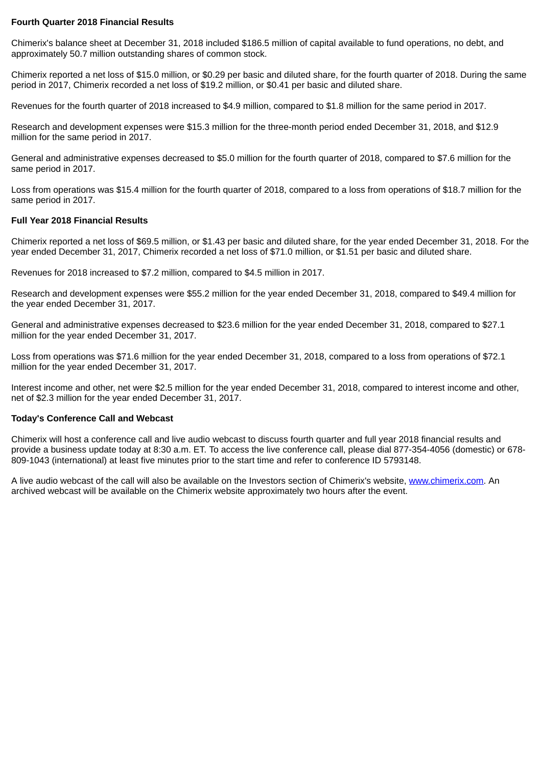## **Fourth Quarter 2018 Financial Results**

Chimerix's balance sheet at December 31, 2018 included \$186.5 million of capital available to fund operations, no debt, and approximately 50.7 million outstanding shares of common stock.

Chimerix reported a net loss of \$15.0 million, or \$0.29 per basic and diluted share, for the fourth quarter of 2018. During the same period in 2017, Chimerix recorded a net loss of \$19.2 million, or \$0.41 per basic and diluted share.

Revenues for the fourth quarter of 2018 increased to \$4.9 million, compared to \$1.8 million for the same period in 2017.

Research and development expenses were \$15.3 million for the three-month period ended December 31, 2018, and \$12.9 million for the same period in 2017.

General and administrative expenses decreased to \$5.0 million for the fourth quarter of 2018, compared to \$7.6 million for the same period in 2017.

Loss from operations was \$15.4 million for the fourth quarter of 2018, compared to a loss from operations of \$18.7 million for the same period in 2017.

## **Full Year 2018 Financial Results**

Chimerix reported a net loss of \$69.5 million, or \$1.43 per basic and diluted share, for the year ended December 31, 2018. For the year ended December 31, 2017, Chimerix recorded a net loss of \$71.0 million, or \$1.51 per basic and diluted share.

Revenues for 2018 increased to \$7.2 million, compared to \$4.5 million in 2017.

Research and development expenses were \$55.2 million for the year ended December 31, 2018, compared to \$49.4 million for the year ended December 31, 2017.

General and administrative expenses decreased to \$23.6 million for the year ended December 31, 2018, compared to \$27.1 million for the year ended December 31, 2017.

Loss from operations was \$71.6 million for the year ended December 31, 2018, compared to a loss from operations of \$72.1 million for the year ended December 31, 2017.

Interest income and other, net were \$2.5 million for the year ended December 31, 2018, compared to interest income and other, net of \$2.3 million for the year ended December 31, 2017.

### **Today's Conference Call and Webcast**

Chimerix will host a conference call and live audio webcast to discuss fourth quarter and full year 2018 financial results and provide a business update today at 8:30 a.m. ET. To access the live conference call, please dial 877-354-4056 (domestic) or 678- 809-1043 (international) at least five minutes prior to the start time and refer to conference ID 5793148.

A live audio webcast of the call will also be available on the Investors section of Chimerix's website, www.chimerix.com. An archived webcast will be available on the Chimerix website approximately two hours after the event.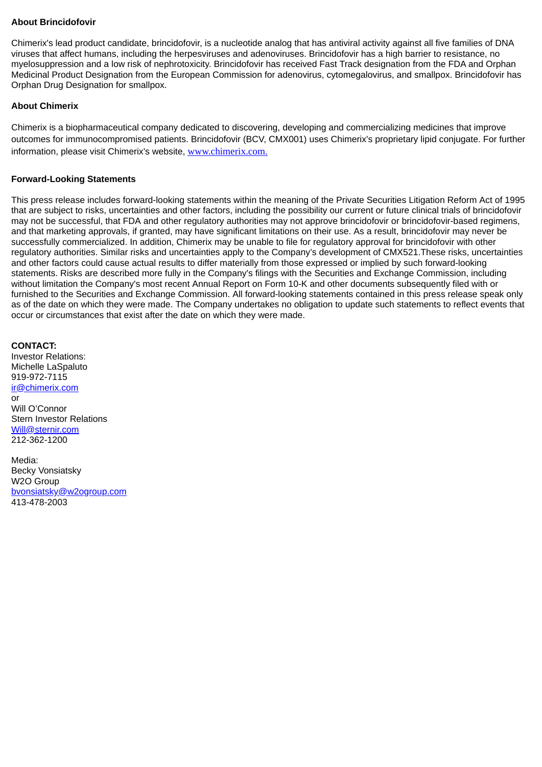## **About Brincidofovir**

Chimerix's lead product candidate, brincidofovir, is a nucleotide analog that has antiviral activity against all five families of DNA viruses that affect humans, including the herpesviruses and adenoviruses. Brincidofovir has a high barrier to resistance, no myelosuppression and a low risk of nephrotoxicity. Brincidofovir has received Fast Track designation from the FDA and Orphan Medicinal Product Designation from the European Commission for adenovirus, cytomegalovirus, and smallpox. Brincidofovir has Orphan Drug Designation for smallpox.

## **About Chimerix**

Chimerix is a biopharmaceutical company dedicated to discovering, developing and commercializing medicines that improve outcomes for immunocompromised patients. Brincidofovir (BCV, CMX001) uses Chimerix's proprietary lipid conjugate. For further information, please visit Chimerix's website, www.chimerix.com.

## **Forward-Looking Statements**

This press release includes forward-looking statements within the meaning of the Private Securities Litigation Reform Act of 1995 that are subject to risks, uncertainties and other factors, including the possibility our current or future clinical trials of brincidofovir may not be successful, that FDA and other regulatory authorities may not approve brincidofovir or brincidofovir-based regimens, and that marketing approvals, if granted, may have significant limitations on their use. As a result, brincidofovir may never be successfully commercialized. In addition, Chimerix may be unable to file for regulatory approval for brincidofovir with other regulatory authorities. Similar risks and uncertainties apply to the Company's development of CMX521.These risks, uncertainties and other factors could cause actual results to differ materially from those expressed or implied by such forward-looking statements. Risks are described more fully in the Company's filings with the Securities and Exchange Commission, including without limitation the Company's most recent Annual Report on Form 10-K and other documents subsequently filed with or furnished to the Securities and Exchange Commission. All forward-looking statements contained in this press release speak only as of the date on which they were made. The Company undertakes no obligation to update such statements to reflect events that occur or circumstances that exist after the date on which they were made.

**CONTACT:** Investor Relations: Michelle LaSpaluto 919-972-7115 ir@chimerix.com or Will O'Connor Stern Investor Relations Will@sternir.com 212-362-1200 Media:

Becky Vonsiatsky W2O Group bvonsiatsky@w2ogroup.com 413-478-2003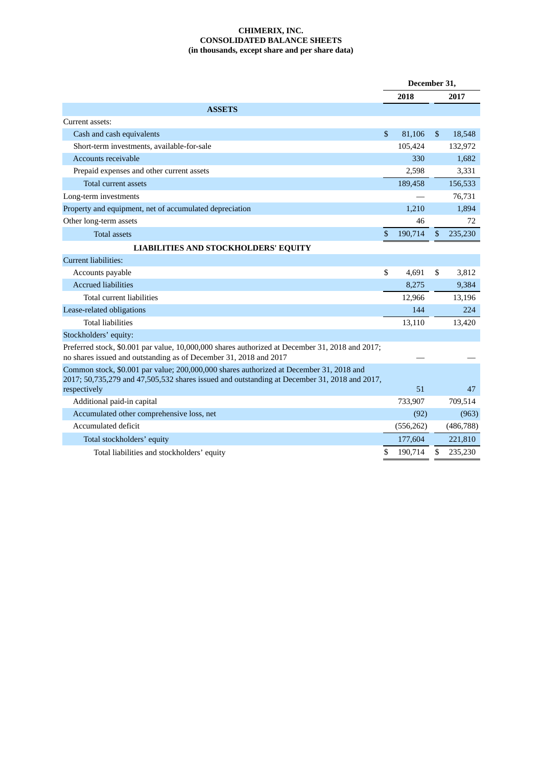## **CHIMERIX, INC. CONSOLIDATED BALANCE SHEETS (in thousands, except share and per share data)**

|                                                                                                                                                                                         | December 31, |            |                |            |
|-----------------------------------------------------------------------------------------------------------------------------------------------------------------------------------------|--------------|------------|----------------|------------|
|                                                                                                                                                                                         |              | 2018       |                | 2017       |
| <b>ASSETS</b>                                                                                                                                                                           |              |            |                |            |
| Current assets:                                                                                                                                                                         |              |            |                |            |
| Cash and cash equivalents                                                                                                                                                               | $\mathbb{S}$ | 81,106     | $\mathbb{S}$   | 18,548     |
| Short-term investments, available-for-sale                                                                                                                                              |              | 105,424    |                | 132,972    |
| Accounts receivable                                                                                                                                                                     |              | 330        |                | 1,682      |
| Prepaid expenses and other current assets                                                                                                                                               |              | 2,598      |                | 3,331      |
| <b>Total current assets</b>                                                                                                                                                             |              | 189,458    |                | 156,533    |
| Long-term investments                                                                                                                                                                   |              |            |                | 76,731     |
| Property and equipment, net of accumulated depreciation                                                                                                                                 |              | 1,210      |                | 1,894      |
| Other long-term assets                                                                                                                                                                  |              | 46         |                | 72         |
| <b>Total assets</b>                                                                                                                                                                     | \$           | 190,714    | $\mathfrak{s}$ | 235,230    |
| <b>LIABILITIES AND STOCKHOLDERS' EQUITY</b>                                                                                                                                             |              |            |                |            |
| Current liabilities:                                                                                                                                                                    |              |            |                |            |
| Accounts payable                                                                                                                                                                        | \$           | 4,691      | \$             | 3,812      |
| <b>Accrued liabilities</b>                                                                                                                                                              |              | 8,275      |                | 9,384      |
| <b>Total current liabilities</b>                                                                                                                                                        |              | 12,966     |                | 13,196     |
| Lease-related obligations                                                                                                                                                               |              | 144        |                | 224        |
| <b>Total liabilities</b>                                                                                                                                                                |              | 13,110     |                | 13,420     |
| Stockholders' equity:                                                                                                                                                                   |              |            |                |            |
| Preferred stock, \$0.001 par value, 10,000,000 shares authorized at December 31, 2018 and 2017;<br>no shares issued and outstanding as of December 31, 2018 and 2017                    |              |            |                |            |
| Common stock, \$0.001 par value; 200,000,000 shares authorized at December 31, 2018 and<br>2017; 50,735,279 and 47,505,532 shares issued and outstanding at December 31, 2018 and 2017, |              |            |                |            |
| respectively                                                                                                                                                                            |              | 51         |                | 47         |
| Additional paid-in capital                                                                                                                                                              |              | 733,907    |                | 709,514    |
| Accumulated other comprehensive loss, net                                                                                                                                               |              | (92)       |                | (963)      |
| Accumulated deficit                                                                                                                                                                     |              | (556, 262) |                | (486, 788) |
| Total stockholders' equity                                                                                                                                                              |              | 177,604    |                | 221,810    |
| Total liabilities and stockholders' equity                                                                                                                                              | \$           | 190,714    | \$             | 235,230    |